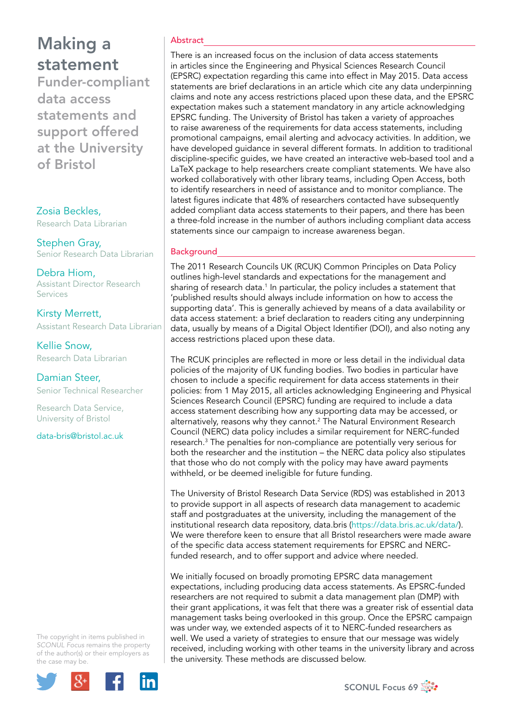Funder-compliant data access statements and support offered at the University of Bristol

## Zosia Beckles,

Research Data Librarian

Stephen Gray, Senior Research Data Librarian

Debra Hiom, Assistant Director Research Services

Kirsty Merrett, Assistant Research Data Librarian

Kellie Snow, Research Data Librarian

Damian Steer, Senior Technical Researcher

Research Data Service, University of Bristol

[data-bris@bristol.ac.uk](mailto:data-bris@bristol.ac.uk)

The copyright in items published in *SCONUL Focus* remains the property of the author(s) or their employers as the case may be.



### Abstract

There is an increased focus on the inclusion of data access statements in articles since the Engineering and Physical Sciences Research Council (EPSRC) expectation regarding this came into effect in May 2015. Data access statements are brief declarations in an article which cite any data underpinning claims and note any access restrictions placed upon these data, and the EPSRC expectation makes such a statement mandatory in any article acknowledging EPSRC funding. The University of Bristol has taken a variety of approaches to raise awareness of the requirements for data access statements, including promotional campaigns, email alerting and advocacy activities. In addition, we have developed guidance in several different formats. In addition to traditional discipline-specific guides, we have created an interactive web-based tool and a LaTeX package to help researchers create compliant statements. We have also worked collaboratively with other library teams, including Open Access, both to identify researchers in need of assistance and to monitor compliance. The latest figures indicate that 48% of researchers contacted have subsequently added compliant data access statements to their papers, and there has been a three-fold increase in the number of authors including compliant data access statements since our campaign to increase awareness began.

## Background

The 2011 Research Councils UK (RCUK) Common Principles on Data Policy outlines high-level standards and expectations for the management and sharing of research data.<sup>1</sup> In particular, the policy includes a statement that 'published results should always include information on how to access the supporting data'. This is generally achieved by means of a data availability or data access statement: a brief declaration to readers citing any underpinning data, usually by means of a Digital Object Identifier (DOI), and also noting any access restrictions placed upon these data.

The RCUK principles are reflected in more or less detail in the individual data policies of the majority of UK funding bodies. Two bodies in particular have chosen to include a specific requirement for data access statements in their policies: from 1 May 2015, all articles acknowledging Engineering and Physical Sciences Research Council (EPSRC) funding are required to include a data access statement describing how any supporting data may be accessed, or alternatively, reasons why they cannot.<sup>2</sup> The Natural Environment Research Council (NERC) data policy includes a similar requirement for NERC-funded research.3 The penalties for non-compliance are potentially very serious for both the researcher and the institution – the NERC data policy also stipulates that those who do not comply with the policy may have award payments withheld, or be deemed ineligible for future funding.

The University of Bristol Research Data Service (RDS) was established in 2013 to provide support in all aspects of research data management to academic staff and postgraduates at the university, including the management of the institutional research data repository, <data.bris>(<https://data.bris.ac.uk/data/>). We were therefore keen to ensure that all Bristol researchers were made aware of the specific data access statement requirements for EPSRC and NERCfunded research, and to offer support and advice where needed.

We initially focused on broadly promoting EPSRC data management expectations, including producing data access statements. As EPSRC-funded researchers are not required to submit a data management plan (DMP) with their grant applications, it was felt that there was a greater risk of essential data management tasks being overlooked in this group. Once the EPSRC campaign was under way, we extended aspects of it to NERC-funded researchers as well. We used a variety of strategies to ensure that our message was widely received, including working with other teams in the university library and across the university. These methods are discussed below.

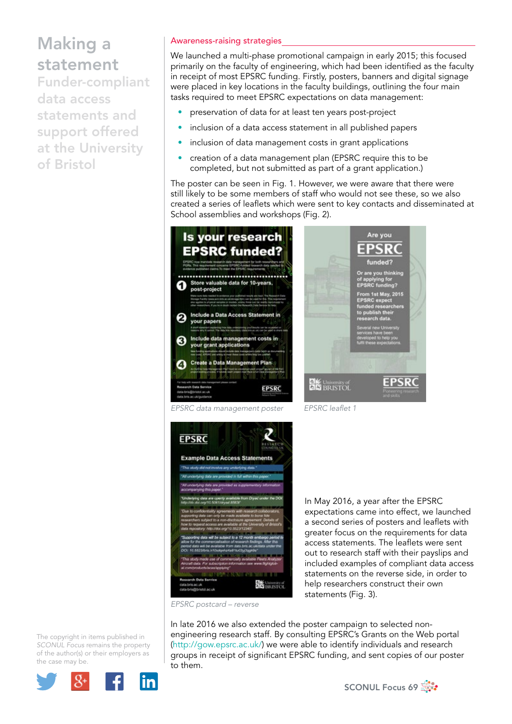Funder-compliant data access statements and support offered at the University of Bristol

### Awareness-raising strategies

We launched a multi-phase promotional campaign in early 2015; this focused primarily on the faculty of engineering, which had been identified as the faculty in receipt of most EPSRC funding. Firstly, posters, banners and digital signage were placed in key locations in the faculty buildings, outlining the four main tasks required to meet EPSRC expectations on data management:

- preservation of data for at least ten years post-project
- inclusion of a data access statement in all published papers
- inclusion of data management costs in grant applications
- creation of a data management plan (EPSRC require this to be completed, but not submitted as part of a grant application.)

The poster can be seen in Fig. 1. However, we were aware that there were still likely to be some members of staff who would not see these, so we also created a series of leaflets which were sent to key contacts and disseminated at School assemblies and workshops (Fig. 2).





*EPSRC data management poster EPSRC leaflet 1* 



*EPSRC postcard – reverse* 

In May 2016, a year after the EPSRC expectations came into effect, we launched a second series of posters and leaflets with greater focus on the requirements for data access statements. The leaflets were sent out to research staff with their payslips and included examples of compliant data access statements on the reverse side, in order to help researchers construct their own statements (Fig. 3).

The copyright in items published in *SCONUL Focus* remains the property of the author(s) or their employers as the case may be.



In late 2016 we also extended the poster campaign to selected nonengineering research staff. By consulting EPSRC's Grants on the Web portal [\(http://gow.epsrc.ac.uk/](http://gow.epsrc.ac.uk/)) we were able to identify individuals and research groups in receipt of significant EPSRC funding, and sent copies of our poster to them.

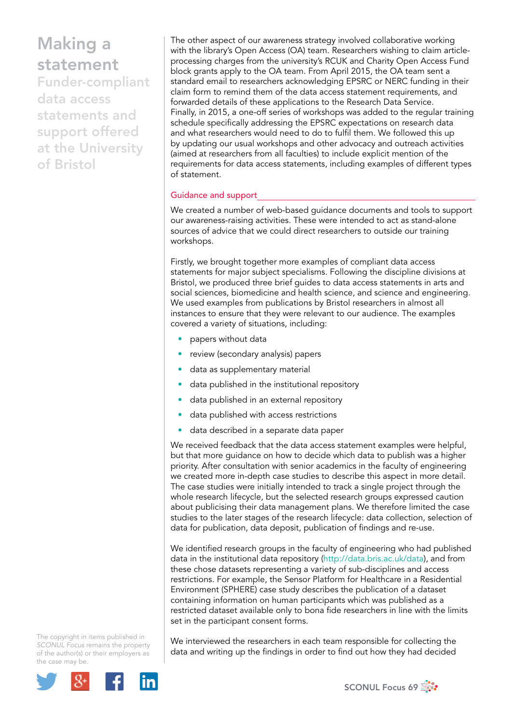Funder-compliant data access statements and support offered at the University of Bristol

The other aspect of our awareness strategy involved collaborative working with the library's Open Access (OA) team. Researchers wishing to claim articleprocessing charges from the university's RCUK and Charity Open Access Fund block grants apply to the OA team. From April 2015, the OA team sent a standard email to researchers acknowledging EPSRC or NERC funding in their claim form to remind them of the data access statement requirements, and forwarded details of these applications to the Research Data Service. Finally, in 2015, a one-off series of workshops was added to the regular training schedule specifically addressing the EPSRC expectations on research data and what researchers would need to do to fulfil them. We followed this up by updating our usual workshops and other advocacy and outreach activities (aimed at researchers from all faculties) to include explicit mention of the requirements for data access statements, including examples of different types of statement.

### Guidance and support

We created a number of web-based guidance documents and tools to support our awareness-raising activities. These were intended to act as stand-alone sources of advice that we could direct researchers to outside our training workshops.

Firstly, we brought together more examples of compliant data access statements for major subject specialisms. Following the discipline divisions at Bristol, we produced three brief guides to data access statements in arts and social sciences, biomedicine and health science, and science and engineering. We used examples from publications by Bristol researchers in almost all instances to ensure that they were relevant to our audience. The examples covered a variety of situations, including:

- papers without data
- review (secondary analysis) papers
- data as supplementary material
- data published in the institutional repository
- data published in an external repository
- data published with access restrictions
- data described in a separate data paper

We received feedback that the data access statement examples were helpful, but that more guidance on how to decide which data to publish was a higher priority. After consultation with senior academics in the faculty of engineering we created more in-depth case studies to describe this aspect in more detail. The case studies were initially intended to track a single project through the whole research lifecycle, but the selected research groups expressed caution about publicising their data management plans. We therefore limited the case studies to the later stages of the research lifecycle: data collection, selection of data for publication, data deposit, publication of findings and re-use.

We identified research groups in the faculty of engineering who had published data in the institutional data repository [\(http://data.bris.ac.uk/data\)](http://data.bris.ac.uk/data), and from these chose datasets representing a variety of sub-disciplines and access restrictions. For example, the Sensor Platform for Healthcare in a Residential Environment (SPHERE) case study describes the publication of a dataset containing information on human participants which was published as a restricted dataset available only to bona fide researchers in line with the limits set in the participant consent forms.

The copyright in items published in *SCONUL Focus* remains the property of the author(s) or their employers as the case may be.



We interviewed the researchers in each team responsible for collecting the data and writing up the findings in order to find out how they had decided

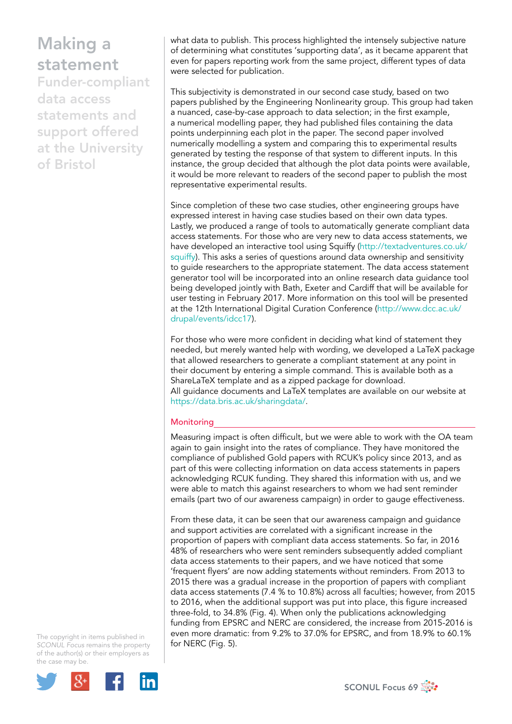Funder-compliant data access statements and support offered at the University of Bristol

what data to publish. This process highlighted the intensely subjective nature of determining what constitutes 'supporting data', as it became apparent that even for papers reporting work from the same project, different types of data were selected for publication.

This subjectivity is demonstrated in our second case study, based on two papers published by the Engineering Nonlinearity group. This group had taken a nuanced, case-by-case approach to data selection; in the first example, a numerical modelling paper, they had published files containing the data points underpinning each plot in the paper. The second paper involved numerically modelling a system and comparing this to experimental results generated by testing the response of that system to different inputs. In this instance, the group decided that although the plot data points were available, it would be more relevant to readers of the second paper to publish the most representative experimental results.

Since completion of these two case studies, other engineering groups have expressed interest in having case studies based on their own data types. Lastly, we produced a range of tools to automatically generate compliant data access statements. For those who are very new to data access statements, we have developed an interactive tool using Squiffy [\(http://textadventures.co.uk/](http://textadventures.co.uk/squiffy) [squiffy](http://textadventures.co.uk/squiffy)). This asks a series of questions around data ownership and sensitivity to guide researchers to the appropriate statement. The data access statement generator tool will be incorporated into an online research data guidance tool being developed jointly with Bath, Exeter and Cardiff that will be available for user testing in February 2017. More information on this tool will be presented at the 12th International Digital Curation Conference ([http://www.dcc.ac.uk/](http://www.dcc.ac.uk/drupal/events/idcc17) [drupal/events/idcc17\)](http://www.dcc.ac.uk/drupal/events/idcc17).

For those who were more confident in deciding what kind of statement they needed, but merely wanted help with wording, we developed a LaTeX package that allowed researchers to generate a compliant statement at any point in their document by entering a simple command. This is available both as a ShareLaTeX template and as a zipped package for download. All guidance documents and LaTeX templates are available on our website at <https://data.bris.ac.uk/sharingdata/>.

### **Monitoring**

Measuring impact is often difficult, but we were able to work with the OA team again to gain insight into the rates of compliance. They have monitored the compliance of published Gold papers with RCUK's policy since 2013, and as part of this were collecting information on data access statements in papers acknowledging RCUK funding. They shared this information with us, and we were able to match this against researchers to whom we had sent reminder emails (part two of our awareness campaign) in order to gauge effectiveness.

From these data, it can be seen that our awareness campaign and guidance and support activities are correlated with a significant increase in the proportion of papers with compliant data access statements. So far, in 2016 48% of researchers who were sent reminders subsequently added compliant data access statements to their papers, and we have noticed that some 'frequent flyers' are now adding statements without reminders. From 2013 to 2015 there was a gradual increase in the proportion of papers with compliant data access statements (7.4 % to 10.8%) across all faculties; however, from 2015 to 2016, when the additional support was put into place, this figure increased three-fold, to 34.8% (Fig. 4). When only the publications acknowledging funding from EPSRC and NERC are considered, the increase from 2015-2016 is even more dramatic: from 9.2% to 37.0% for EPSRC, and from 18.9% to 60.1% for NERC (Fig. 5).

The copyright in items published in *SCONUL Focus* remains the property of the author(s) or their employers as the case may be.